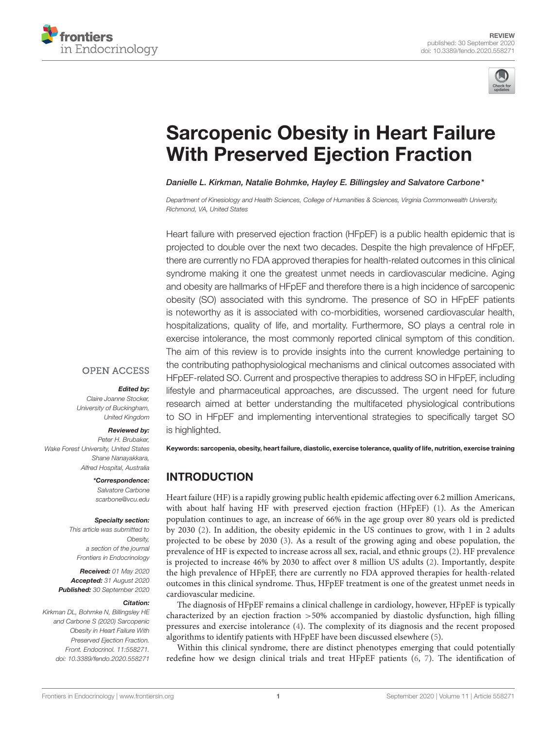



# [Sarcopenic Obesity in Heart Failure](https://www.frontiersin.org/articles/10.3389/fendo.2020.558271/full) With Preserved Ejection Fraction

#### Danielle L. Kirkman, Natalie Bohmke, Hayley E. Billingsley and Salvatore Carbone\*

*Department of Kinesiology and Health Sciences, College of Humanities & Sciences, Virginia Commonwealth University, Richmond, VA, United States*

Heart failure with preserved ejection fraction (HFpEF) is a public health epidemic that is projected to double over the next two decades. Despite the high prevalence of HFpEF, there are currently no FDA approved therapies for health-related outcomes in this clinical syndrome making it one the greatest unmet needs in cardiovascular medicine. Aging and obesity are hallmarks of HFpEF and therefore there is a high incidence of sarcopenic obesity (SO) associated with this syndrome. The presence of SO in HFpEF patients is noteworthy as it is associated with co-morbidities, worsened cardiovascular health, hospitalizations, quality of life, and mortality. Furthermore, SO plays a central role in exercise intolerance, the most commonly reported clinical symptom of this condition. The aim of this review is to provide insights into the current knowledge pertaining to the contributing pathophysiological mechanisms and clinical outcomes associated with HFpEF-related SO. Current and prospective therapies to address SO in HFpEF, including lifestyle and pharmaceutical approaches, are discussed. The urgent need for future research aimed at better understanding the multifaceted physiological contributions to SO in HFpEF and implementing interventional strategies to specifically target SO is highlighted.

#### **OPEN ACCESS**

#### Edited by:

*Claire Joanne Stocker, University of Buckingham, United Kingdom*

#### Reviewed by:

*Peter H. Brubaker, Wake Forest University, United States Shane Nanayakkara, Alfred Hospital, Australia*

> \*Correspondence: *Salvatore Carbone [scarbone@vcu.edu](mailto:scarbone@vcu.edu)*

#### Specialty section:

*This article was submitted to Obesity, a section of the journal Frontiers in Endocrinology*

Received: *01 May 2020* Accepted: *31 August 2020* Published: *30 September 2020*

#### Citation:

*Kirkman DL, Bohmke N, Billingsley HE and Carbone S (2020) Sarcopenic Obesity in Heart Failure With Preserved Ejection Fraction. Front. Endocrinol. 11:558271. doi: [10.3389/fendo.2020.558271](https://doi.org/10.3389/fendo.2020.558271)*

Keywords: sarcopenia, obesity, heart failure, diastolic, exercise tolerance, quality of life, nutrition, exercise training

# INTRODUCTION

Heart failure (HF) is a rapidly growing public health epidemic affecting over 6.2 million Americans, with about half having HF with preserved ejection fraction (HFpEF) [\(1\)](#page-8-0). As the American population continues to age, an increase of 66% in the age group over 80 years old is predicted by 2030 [\(2\)](#page-8-1). In addition, the obesity epidemic in the US continues to grow, with 1 in 2 adults projected to be obese by 2030 [\(3\)](#page-8-2). As a result of the growing aging and obese population, the prevalence of HF is expected to increase across all sex, racial, and ethnic groups [\(2\)](#page-8-1). HF prevalence is projected to increase 46% by 2030 to affect over 8 million US adults [\(2\)](#page-8-1). Importantly, despite the high prevalence of HFpEF, there are currently no FDA approved therapies for health-related outcomes in this clinical syndrome. Thus, HFpEF treatment is one of the greatest unmet needs in cardiovascular medicine.

The diagnosis of HFpEF remains a clinical challenge in cardiology, however, HFpEF is typically characterized by an ejection fraction >50% accompanied by diastolic dysfunction, high filling pressures and exercise intolerance [\(4\)](#page-8-3). The complexity of its diagnosis and the recent proposed algorithms to identify patients with HFpEF have been discussed elsewhere [\(5\)](#page-8-4).

Within this clinical syndrome, there are distinct phenotypes emerging that could potentially redefine how we design clinical trials and treat HFpEF patients [\(6,](#page-8-5) [7\)](#page-8-6). The identification of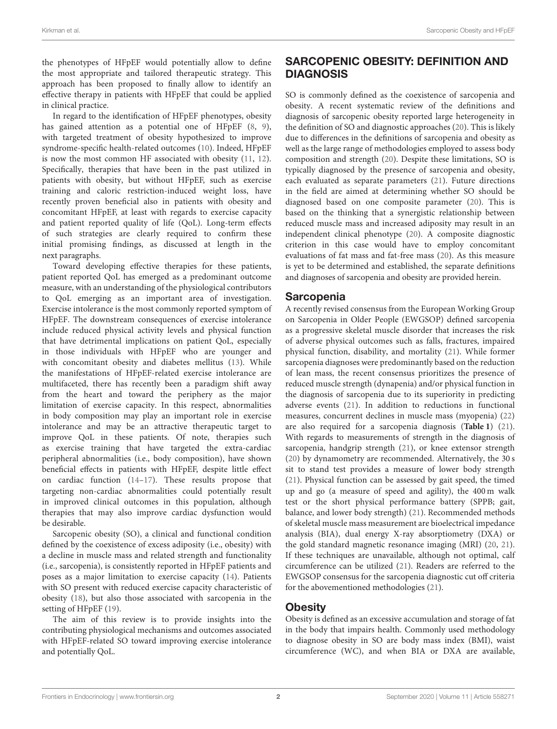the phenotypes of HFpEF would potentially allow to define the most appropriate and tailored therapeutic strategy. This approach has been proposed to finally allow to identify an effective therapy in patients with HFpEF that could be applied in clinical practice.

In regard to the identification of HFpEF phenotypes, obesity has gained attention as a potential one of HFpEF [\(8,](#page-8-7) [9\)](#page-8-8), with targeted treatment of obesity hypothesized to improve syndrome-specific health-related outcomes [\(10\)](#page-8-9). Indeed, HFpEF is now the most common HF associated with obesity [\(11,](#page-8-10) [12\)](#page-8-11). Specifically, therapies that have been in the past utilized in patients with obesity, but without HFpEF, such as exercise training and caloric restriction-induced weight loss, have recently proven beneficial also in patients with obesity and concomitant HFpEF, at least with regards to exercise capacity and patient reported quality of life (QoL). Long-term effects of such strategies are clearly required to confirm these initial promising findings, as discussed at length in the next paragraphs.

Toward developing effective therapies for these patients, patient reported QoL has emerged as a predominant outcome measure, with an understanding of the physiological contributors to QoL emerging as an important area of investigation. Exercise intolerance is the most commonly reported symptom of HFpEF. The downstream consequences of exercise intolerance include reduced physical activity levels and physical function that have detrimental implications on patient QoL, especially in those individuals with HFpEF who are younger and with concomitant obesity and diabetes mellitus [\(13\)](#page-8-12). While the manifestations of HFpEF-related exercise intolerance are multifaceted, there has recently been a paradigm shift away from the heart and toward the periphery as the major limitation of exercise capacity. In this respect, abnormalities in body composition may play an important role in exercise intolerance and may be an attractive therapeutic target to improve QoL in these patients. Of note, therapies such as exercise training that have targeted the extra-cardiac peripheral abnormalities (i.e., body composition), have shown beneficial effects in patients with HFpEF, despite little effect on cardiac function [\(14–](#page-8-13)[17\)](#page-8-14). These results propose that targeting non-cardiac abnormalities could potentially result in improved clinical outcomes in this population, although therapies that may also improve cardiac dysfunction would be desirable.

Sarcopenic obesity (SO), a clinical and functional condition defined by the coexistence of excess adiposity (i.e., obesity) with a decline in muscle mass and related strength and functionality (i.e., sarcopenia), is consistently reported in HFpEF patients and poses as a major limitation to exercise capacity [\(14\)](#page-8-13). Patients with SO present with reduced exercise capacity characteristic of obesity [\(18\)](#page-8-15), but also those associated with sarcopenia in the setting of HFpEF [\(19\)](#page-8-16).

The aim of this review is to provide insights into the contributing physiological mechanisms and outcomes associated with HFpEF-related SO toward improving exercise intolerance and potentially QoL.

# SARCOPENIC OBESITY: DEFINITION AND DIAGNOSIS

SO is commonly defined as the coexistence of sarcopenia and obesity. A recent systematic review of the definitions and diagnosis of sarcopenic obesity reported large heterogeneity in the definition of SO and diagnostic approaches [\(20\)](#page-8-17). This is likely due to differences in the definitions of sarcopenia and obesity as well as the large range of methodologies employed to assess body composition and strength [\(20\)](#page-8-17). Despite these limitations, SO is typically diagnosed by the presence of sarcopenia and obesity, each evaluated as separate parameters [\(21\)](#page-8-18). Future directions in the field are aimed at determining whether SO should be diagnosed based on one composite parameter [\(20\)](#page-8-17). This is based on the thinking that a synergistic relationship between reduced muscle mass and increased adiposity may result in an independent clinical phenotype [\(20\)](#page-8-17). A composite diagnostic criterion in this case would have to employ concomitant evaluations of fat mass and fat-free mass [\(20\)](#page-8-17). As this measure is yet to be determined and established, the separate definitions and diagnoses of sarcopenia and obesity are provided herein.

# **Sarcopenia**

A recently revised consensus from the European Working Group on Sarcopenia in Older People (EWGSOP) defined sarcopenia as a progressive skeletal muscle disorder that increases the risk of adverse physical outcomes such as falls, fractures, impaired physical function, disability, and mortality [\(21\)](#page-8-18). While former sarcopenia diagnoses were predominantly based on the reduction of lean mass, the recent consensus prioritizes the presence of reduced muscle strength (dynapenia) and/or physical function in the diagnosis of sarcopenia due to its superiority in predicting adverse events [\(21\)](#page-8-18). In addition to reductions in functional measures, concurrent declines in muscle mass (myopenia) [\(22\)](#page-8-19) are also required for a sarcopenia diagnosis (**[Table 1](#page-2-0)**) [\(21\)](#page-8-18). With regards to measurements of strength in the diagnosis of sarcopenia, handgrip strength [\(21\)](#page-8-18), or knee extensor strength [\(20\)](#page-8-17) by dynamometry are recommended. Alternatively, the 30 s sit to stand test provides a measure of lower body strength [\(21\)](#page-8-18). Physical function can be assessed by gait speed, the timed up and go (a measure of speed and agility), the 400 m walk test or the short physical performance battery (SPPB; gait, balance, and lower body strength) [\(21\)](#page-8-18). Recommended methods of skeletal muscle mass measurement are bioelectrical impedance analysis (BIA), dual energy X-ray absorptiometry (DXA) or the gold standard magnetic resonance imaging (MRI) [\(20,](#page-8-17) [21\)](#page-8-18). If these techniques are unavailable, although not optimal, calf circumference can be utilized [\(21\)](#page-8-18). Readers are referred to the EWGSOP consensus for the sarcopenia diagnostic cut off criteria for the abovementioned methodologies [\(21\)](#page-8-18).

### **Obesity**

Obesity is defined as an excessive accumulation and storage of fat in the body that impairs health. Commonly used methodology to diagnose obesity in SO are body mass index (BMI), waist circumference (WC), and when BIA or DXA are available,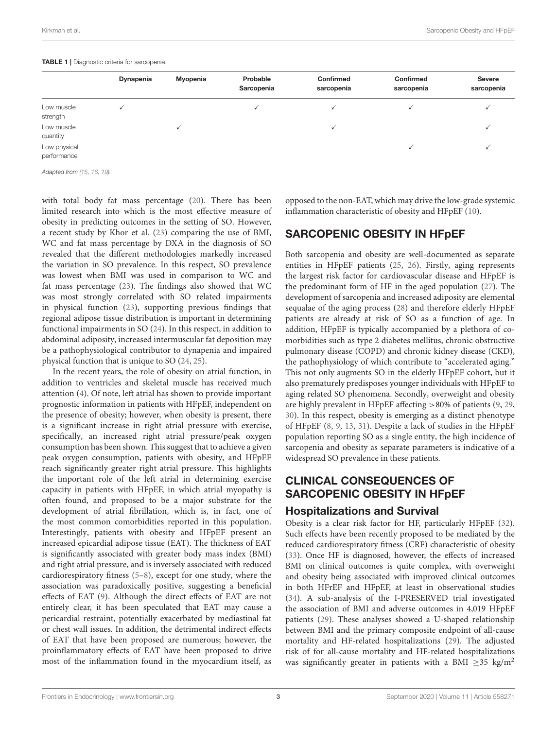#### <span id="page-2-0"></span>TABLE 1 | Diagnostic criteria for sarcopenia.

|                             | <b>Dynapenia</b> | Myopenia | Probable<br>Sarcopenia | Confirmed<br>sarcopenia | Confirmed<br>sarcopenia | <b>Severe</b><br>sarcopenia |
|-----------------------------|------------------|----------|------------------------|-------------------------|-------------------------|-----------------------------|
| Low muscle<br>strength      |                  |          |                        |                         |                         |                             |
| Low muscle<br>quantity      |                  |          |                        |                         |                         |                             |
| Low physical<br>performance |                  |          |                        |                         |                         |                             |

*Adapted from [\(15,](#page-8-20) [16,](#page-8-21) [19\)](#page-8-16).*

with total body fat mass percentage [\(20\)](#page-8-17). There has been limited research into which is the most effective measure of obesity in predicting outcomes in the setting of SO. However, a recent study by Khor et al. [\(23\)](#page-8-22) comparing the use of BMI, WC and fat mass percentage by DXA in the diagnosis of SO revealed that the different methodologies markedly increased the variation in SO prevalence. In this respect, SO prevalence was lowest when BMI was used in comparison to WC and fat mass percentage [\(23\)](#page-8-22). The findings also showed that WC was most strongly correlated with SO related impairments in physical function [\(23\)](#page-8-22), supporting previous findings that regional adipose tissue distribution is important in determining functional impairments in SO [\(24\)](#page-8-23). In this respect, in addition to abdominal adiposity, increased intermuscular fat deposition may be a pathophysiological contributor to dynapenia and impaired physical function that is unique to SO [\(24,](#page-8-23) [25\)](#page-8-24).

In the recent years, the role of obesity on atrial function, in addition to ventricles and skeletal muscle has received much attention [\(4\)](#page-8-3). Of note, left atrial has shown to provide important prognostic information in patients with HFpEF, independent on the presence of obesity; however, when obesity is present, there is a significant increase in right atrial pressure with exercise, specifically, an increased right atrial pressure/peak oxygen consumption has been shown. This suggest that to achieve a given peak oxygen consumption, patients with obesity, and HFpEF reach significantly greater right atrial pressure. This highlights the important role of the left atrial in determining exercise capacity in patients with HFpEF, in which atrial myopathy is often found, and proposed to be a major substrate for the development of atrial fibrillation, which is, in fact, one of the most common comorbidities reported in this population. Interestingly, patients with obesity and HFpEF present an increased epicardial adipose tissue (EAT). The thickness of EAT is significantly associated with greater body mass index (BMI) and right atrial pressure, and is inversely associated with reduced cardiorespiratory fitness [\(5–](#page-8-4)[8\)](#page-8-7), except for one study, where the association was paradoxically positive, suggesting a beneficial effects of EAT [\(9\)](#page-8-8). Although the direct effects of EAT are not entirely clear, it has been speculated that EAT may cause a pericardial restraint, potentially exacerbated by mediastinal fat or chest wall issues. In addition, the detrimental indirect effects of EAT that have been proposed are numerous; however, the proinflammatory effects of EAT have been proposed to drive most of the inflammation found in the myocardium itself, as opposed to the non-EAT, which may drive the low-grade systemic inflammation characteristic of obesity and HFpEF [\(10\)](#page-8-9).

# SARCOPENIC OBESITY IN HFpEF

Both sarcopenia and obesity are well-documented as separate entities in HFpEF patients [\(25,](#page-8-24) [26\)](#page-9-0). Firstly, aging represents the largest risk factor for cardiovascular disease and HFpEF is the predominant form of HF in the aged population [\(27\)](#page-9-1). The development of sarcopenia and increased adiposity are elemental sequalae of the aging process [\(28\)](#page-9-2) and therefore elderly HFpEF patients are already at risk of SO as a function of age. In addition, HFpEF is typically accompanied by a plethora of comorbidities such as type 2 diabetes mellitus, chronic obstructive pulmonary disease (COPD) and chronic kidney disease (CKD), the pathophysiology of which contribute to "accelerated aging." This not only augments SO in the elderly HFpEF cohort, but it also prematurely predisposes younger individuals with HFpEF to aging related SO phenomena. Secondly, overweight and obesity are highly prevalent in HFpEF affecting >80% of patients [\(9,](#page-8-8) [29,](#page-9-3) [30\)](#page-9-4). In this respect, obesity is emerging as a distinct phenotype of HFpEF [\(8,](#page-8-7) [9,](#page-8-8) [13,](#page-8-12) [31\)](#page-9-5). Despite a lack of studies in the HFpEF population reporting SO as a single entity, the high incidence of sarcopenia and obesity as separate parameters is indicative of a widespread SO prevalence in these patients.

# CLINICAL CONSEQUENCES OF SARCOPENIC OBESITY IN HFpEF

### Hospitalizations and Survival

Obesity is a clear risk factor for HF, particularly HFpEF [\(32\)](#page-9-6). Such effects have been recently proposed to be mediated by the reduced cardiorespiratory fitness (CRF) characteristic of obesity [\(33\)](#page-9-7). Once HF is diagnosed, however, the effects of increased BMI on clinical outcomes is quite complex, with overweight and obesity being associated with improved clinical outcomes in both HFrEF and HFpEF, at least in observational studies [\(34\)](#page-9-8). A sub-analysis of the I-PRESERVED trial investigated the association of BMI and adverse outcomes in 4,019 HFpEF patients [\(29\)](#page-9-3). These analyses showed a U-shaped relationship between BMI and the primary composite endpoint of all-cause mortality and HF-related hospitalizations [\(29\)](#page-9-3). The adjusted risk of for all-cause mortality and HF-related hospitalizations was significantly greater in patients with a BMI  $\geq$ 35 kg/m<sup>2</sup>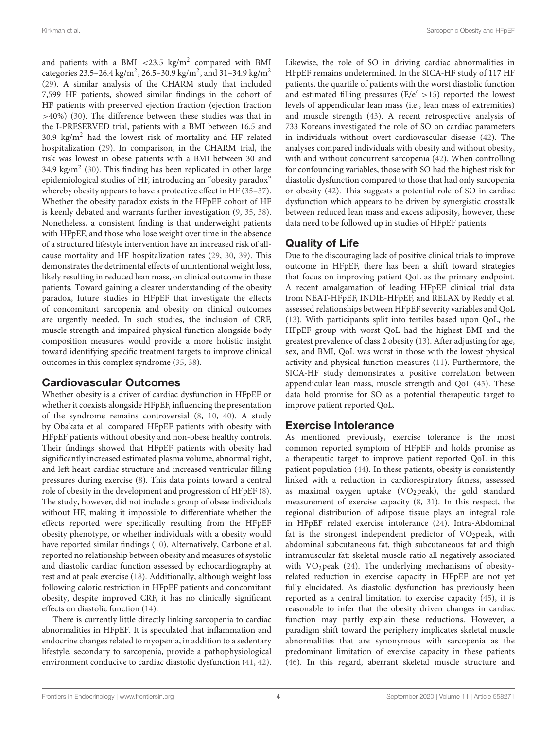and patients with a BMI  $\langle 23.5 \text{ kg/m}^2 \text{ compared with BMI}$ categories 23.5–26.4 kg/m<sup>2</sup>, 26.5–30.9 kg/m<sup>2</sup>, and 31–34.9 kg/m<sup>2</sup> [\(29\)](#page-9-3). A similar analysis of the CHARM study that included 7,599 HF patients, showed similar findings in the cohort of HF patients with preserved ejection fraction (ejection fraction  $>40\%$ ) [\(30\)](#page-9-4). The difference between these studies was that in the I-PRESERVED trial, patients with a BMI between 16.5 and 30.9 kg/m<sup>2</sup> had the lowest risk of mortality and HF related hospitalization [\(29\)](#page-9-3). In comparison, in the CHARM trial, the risk was lowest in obese patients with a BMI between 30 and 34.9 kg/ $m^2$  [\(30\)](#page-9-4). This finding has been replicated in other large epidemiological studies of HF, introducing an "obesity paradox" whereby obesity appears to have a protective effect in HF [\(35–](#page-9-9)[37\)](#page-9-10). Whether the obesity paradox exists in the HFpEF cohort of HF is keenly debated and warrants further investigation [\(9,](#page-8-8) [35,](#page-9-9) [38\)](#page-9-11). Nonetheless, a consistent finding is that underweight patients with HFpEF, and those who lose weight over time in the absence of a structured lifestyle intervention have an increased risk of allcause mortality and HF hospitalization rates [\(29,](#page-9-3) [30,](#page-9-4) [39\)](#page-9-12). This demonstrates the detrimental effects of unintentional weight loss, likely resulting in reduced lean mass, on clinical outcome in these patients. Toward gaining a clearer understanding of the obesity paradox, future studies in HFpEF that investigate the effects of concomitant sarcopenia and obesity on clinical outcomes are urgently needed. In such studies, the inclusion of CRF, muscle strength and impaired physical function alongside body composition measures would provide a more holistic insight toward identifying specific treatment targets to improve clinical outcomes in this complex syndrome [\(35,](#page-9-9) [38\)](#page-9-11).

### Cardiovascular Outcomes

Whether obesity is a driver of cardiac dysfunction in HFpEF or whether it coexists alongside HFpEF, influencing the presentation of the syndrome remains controversial [\(8,](#page-8-7) [10,](#page-8-9) [40\)](#page-9-13). A study by Obakata et al. compared HFpEF patients with obesity with HFpEF patients without obesity and non-obese healthy controls. Their findings showed that HFpEF patients with obesity had significantly increased estimated plasma volume, abnormal right, and left heart cardiac structure and increased ventricular filling pressures during exercise [\(8\)](#page-8-7). This data points toward a central role of obesity in the development and progression of HFpEF [\(8\)](#page-8-7). The study, however, did not include a group of obese individuals without HF, making it impossible to differentiate whether the effects reported were specifically resulting from the HFpEF obesity phenotype, or whether individuals with a obesity would have reported similar findings [\(10\)](#page-8-9). Alternatively, Carbone et al. reported no relationship between obesity and measures of systolic and diastolic cardiac function assessed by echocardiography at rest and at peak exercise [\(18\)](#page-8-15). Additionally, although weight loss following caloric restriction in HFpEF patients and concomitant obesity, despite improved CRF, it has no clinically significant effects on diastolic function [\(14\)](#page-8-13).

There is currently little directly linking sarcopenia to cardiac abnormalities in HFpEF. It is speculated that inflammation and endocrine changes related to myopenia, in addition to a sedentary lifestyle, secondary to sarcopenia, provide a pathophysiological environment conducive to cardiac diastolic dysfunction [\(41,](#page-9-14) [42\)](#page-9-15). Likewise, the role of SO in driving cardiac abnormalities in HFpEF remains undetermined. In the SICA-HF study of 117 HF patients, the quartile of patients with the worst diastolic function and estimated filling pressures ( $E/e' > 15$ ) reported the lowest levels of appendicular lean mass (i.e., lean mass of extremities) and muscle strength [\(43\)](#page-9-16). A recent retrospective analysis of 733 Koreans investigated the role of SO on cardiac parameters in individuals without overt cardiovascular disease [\(42\)](#page-9-15). The analyses compared individuals with obesity and without obesity, with and without concurrent sarcopenia [\(42\)](#page-9-15). When controlling for confounding variables, those with SO had the highest risk for diastolic dysfunction compared to those that had only sarcopenia or obesity [\(42\)](#page-9-15). This suggests a potential role of SO in cardiac dysfunction which appears to be driven by synergistic crosstalk between reduced lean mass and excess adiposity, however, these data need to be followed up in studies of HFpEF patients.

# Quality of Life

Due to the discouraging lack of positive clinical trials to improve outcome in HFpEF, there has been a shift toward strategies that focus on improving patient QoL as the primary endpoint. A recent amalgamation of leading HFpEF clinical trial data from NEAT-HFpEF, INDIE-HFpEF, and RELAX by Reddy et al. assessed relationships between HFpEF severity variables and QoL [\(13\)](#page-8-12). With participants split into tertiles based upon QoL, the HFpEF group with worst QoL had the highest BMI and the greatest prevalence of class 2 obesity [\(13\)](#page-8-12). After adjusting for age, sex, and BMI, QoL was worst in those with the lowest physical activity and physical function measures [\(11\)](#page-8-10). Furthermore, the SICA-HF study demonstrates a positive correlation between appendicular lean mass, muscle strength and QoL [\(43\)](#page-9-16). These data hold promise for SO as a potential therapeutic target to improve patient reported QoL.

### Exercise Intolerance

As mentioned previously, exercise tolerance is the most common reported symptom of HFpEF and holds promise as a therapeutic target to improve patient reported QoL in this patient population [\(44\)](#page-9-17). In these patients, obesity is consistently linked with a reduction in cardiorespiratory fitness, assessed as maximal oxygen uptake (VO<sub>2</sub>peak), the gold standard measurement of exercise capacity [\(8,](#page-8-7) [31\)](#page-9-5). In this respect, the regional distribution of adipose tissue plays an integral role in HFpEF related exercise intolerance [\(24\)](#page-8-23). Intra-Abdominal fat is the strongest independent predictor of  $VO<sub>2</sub>peak$ , with abdominal subcutaneous fat, thigh subcutaneous fat and thigh intramuscular fat: skeletal muscle ratio all negatively associated with  $VO<sub>2</sub>peak$  [\(24\)](#page-8-23). The underlying mechanisms of obesityrelated reduction in exercise capacity in HFpEF are not yet fully elucidated. As diastolic dysfunction has previously been reported as a central limitation to exercise capacity [\(45\)](#page-9-18), it is reasonable to infer that the obesity driven changes in cardiac function may partly explain these reductions. However, a paradigm shift toward the periphery implicates skeletal muscle abnormalities that are synonymous with sarcopenia as the predominant limitation of exercise capacity in these patients [\(46\)](#page-9-19). In this regard, aberrant skeletal muscle structure and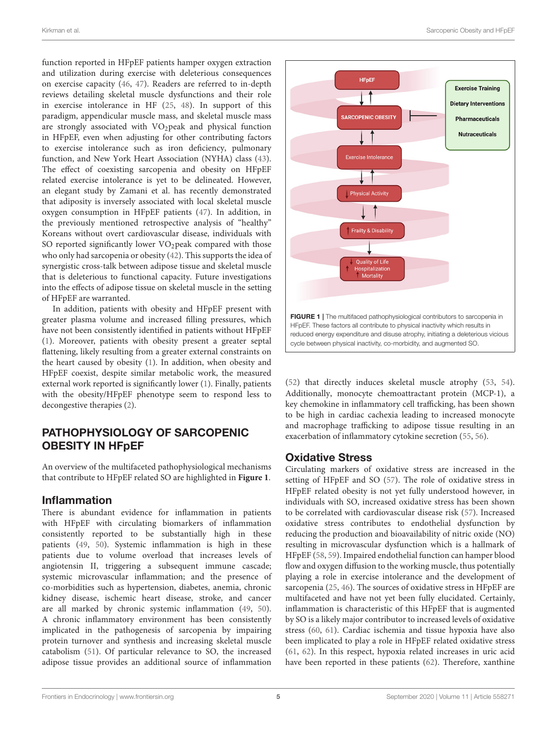function reported in HFpEF patients hamper oxygen extraction and utilization during exercise with deleterious consequences on exercise capacity [\(46,](#page-9-19) [47\)](#page-9-20). Readers are referred to in-depth reviews detailing skeletal muscle dysfunctions and their role in exercise intolerance in HF [\(25,](#page-8-24) [48\)](#page-9-21). In support of this paradigm, appendicular muscle mass, and skeletal muscle mass are strongly associated with VO<sub>2</sub>peak and physical function in HFpEF, even when adjusting for other contributing factors to exercise intolerance such as iron deficiency, pulmonary function, and New York Heart Association (NYHA) class [\(43\)](#page-9-16). The effect of coexisting sarcopenia and obesity on HFpEF related exercise intolerance is yet to be delineated. However, an elegant study by Zamani et al. has recently demonstrated that adiposity is inversely associated with local skeletal muscle oxygen consumption in HFpEF patients [\(47\)](#page-9-20). In addition, in the previously mentioned retrospective analysis of "healthy" Koreans without overt cardiovascular disease, individuals with SO reported significantly lower VO<sub>2</sub>peak compared with those who only had sarcopenia or obesity [\(42\)](#page-9-15). This supports the idea of synergistic cross-talk between adipose tissue and skeletal muscle that is deleterious to functional capacity. Future investigations into the effects of adipose tissue on skeletal muscle in the setting of HFpEF are warranted.

In addition, patients with obesity and HFpEF present with greater plasma volume and increased filling pressures, which have not been consistently identified in patients without HFpEF [\(1\)](#page-8-0). Moreover, patients with obesity present a greater septal flattening, likely resulting from a greater external constraints on the heart caused by obesity [\(1\)](#page-8-0). In addition, when obesity and HFpEF coexist, despite similar metabolic work, the measured external work reported is significantly lower [\(1\)](#page-8-0). Finally, patients with the obesity/HFpEF phenotype seem to respond less to decongestive therapies [\(2\)](#page-8-1).

# PATHOPHYSIOLOGY OF SARCOPENIC OBESITY IN HFpEF

An overview of the multifaceted pathophysiological mechanisms that contribute to HFpEF related SO are highlighted in **[Figure 1](#page-4-0)**.

#### Inflammation

There is abundant evidence for inflammation in patients with HFpEF with circulating biomarkers of inflammation consistently reported to be substantially high in these patients [\(49,](#page-9-22) [50\)](#page-9-23). Systemic inflammation is high in these patients due to volume overload that increases levels of angiotensin II, triggering a subsequent immune cascade; systemic microvascular inflammation; and the presence of co-morbidities such as hypertension, diabetes, anemia, chronic kidney disease, ischemic heart disease, stroke, and cancer are all marked by chronic systemic inflammation [\(49,](#page-9-22) [50\)](#page-9-23). A chronic inflammatory environment has been consistently implicated in the pathogenesis of sarcopenia by impairing protein turnover and synthesis and increasing skeletal muscle catabolism [\(51\)](#page-9-24). Of particular relevance to SO, the increased adipose tissue provides an additional source of inflammation



<span id="page-4-0"></span>[\(52\)](#page-9-25) that directly induces skeletal muscle atrophy [\(53,](#page-9-26) [54\)](#page-9-27). Additionally, monocyte chemoattractant protein (MCP-1), a key chemokine in inflammatory cell trafficking, has been shown to be high in cardiac cachexia leading to increased monocyte and macrophage trafficking to adipose tissue resulting in an exacerbation of inflammatory cytokine secretion [\(55,](#page-9-28) [56\)](#page-9-29).

### Oxidative Stress

Circulating markers of oxidative stress are increased in the setting of HFpEF and SO [\(57\)](#page-9-30). The role of oxidative stress in HFpEF related obesity is not yet fully understood however, in individuals with SO, increased oxidative stress has been shown to be correlated with cardiovascular disease risk [\(57\)](#page-9-30). Increased oxidative stress contributes to endothelial dysfunction by reducing the production and bioavailability of nitric oxide (NO) resulting in microvascular dysfunction which is a hallmark of HFpEF [\(58,](#page-9-31) [59\)](#page-9-32). Impaired endothelial function can hamper blood flow and oxygen diffusion to the working muscle, thus potentially playing a role in exercise intolerance and the development of sarcopenia [\(25,](#page-8-24) [46\)](#page-9-19). The sources of oxidative stress in HFpEF are multifaceted and have not yet been fully elucidated. Certainly, inflammation is characteristic of this HFpEF that is augmented by SO is a likely major contributor to increased levels of oxidative stress [\(60,](#page-9-33) [61\)](#page-9-34). Cardiac ischemia and tissue hypoxia have also been implicated to play a role in HFpEF related oxidative stress [\(61,](#page-9-34) [62\)](#page-9-35). In this respect, hypoxia related increases in uric acid have been reported in these patients [\(62\)](#page-9-35). Therefore, xanthine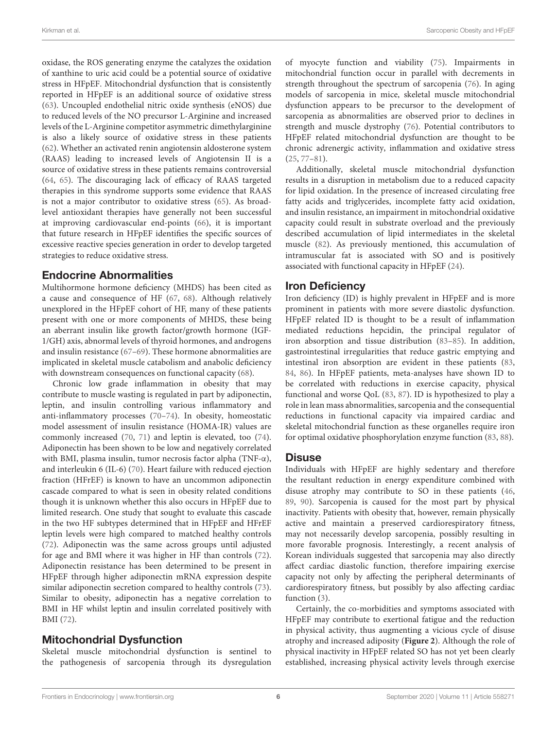oxidase, the ROS generating enzyme the catalyzes the oxidation of xanthine to uric acid could be a potential source of oxidative stress in HFpEF. Mitochondrial dysfunction that is consistently reported in HFpEF is an additional source of oxidative stress [\(63\)](#page-10-0). Uncoupled endothelial nitric oxide synthesis (eNOS) due to reduced levels of the NO precursor L-Arginine and increased levels of the L-Arginine competitor asymmetric dimethylarginine is also a likely source of oxidative stress in these patients [\(62\)](#page-9-35). Whether an activated renin angiotensin aldosterone system (RAAS) leading to increased levels of Angiotensin II is a source of oxidative stress in these patients remains controversial [\(64,](#page-10-1) [65\)](#page-10-2). The discouraging lack of efficacy of RAAS targeted therapies in this syndrome supports some evidence that RAAS is not a major contributor to oxidative stress [\(65\)](#page-10-2). As broadlevel antioxidant therapies have generally not been successful at improving cardiovascular end-points [\(66\)](#page-10-3), it is important that future research in HFpEF identifies the specific sources of excessive reactive species generation in order to develop targeted strategies to reduce oxidative stress.

#### Endocrine Abnormalities

Multihormone hormone deficiency (MHDS) has been cited as a cause and consequence of HF [\(67,](#page-10-4) [68\)](#page-10-5). Although relatively unexplored in the HFpEF cohort of HF, many of these patients present with one or more components of MHDS, these being an aberrant insulin like growth factor/growth hormone (IGF-1/GH) axis, abnormal levels of thyroid hormones, and androgens and insulin resistance [\(67](#page-10-4)[–69\)](#page-10-6). These hormone abnormalities are implicated in skeletal muscle catabolism and anabolic deficiency with downstream consequences on functional capacity [\(68\)](#page-10-5).

Chronic low grade inflammation in obesity that may contribute to muscle wasting is regulated in part by adiponectin, leptin, and insulin controlling various inflammatory and anti-inflammatory processes [\(70–](#page-10-7)[74\)](#page-10-8). In obesity, homeostatic model assessment of insulin resistance (HOMA-IR) values are commonly increased [\(70,](#page-10-7) [71\)](#page-10-9) and leptin is elevated, too [\(74\)](#page-10-8). Adiponectin has been shown to be low and negatively correlated with BMI, plasma insulin, tumor necrosis factor alpha (TNF- $\alpha$ ), and interleukin 6 (IL-6) [\(70\)](#page-10-7). Heart failure with reduced ejection fraction (HFrEF) is known to have an uncommon adiponectin cascade compared to what is seen in obesity related conditions though it is unknown whether this also occurs in HFpEF due to limited research. One study that sought to evaluate this cascade in the two HF subtypes determined that in HFpEF and HFrEF leptin levels were high compared to matched healthy controls [\(72\)](#page-10-10). Adiponectin was the same across groups until adjusted for age and BMI where it was higher in HF than controls [\(72\)](#page-10-10). Adiponectin resistance has been determined to be present in HFpEF through higher adiponectin mRNA expression despite similar adiponectin secretion compared to healthy controls [\(73\)](#page-10-11). Similar to obesity, adiponectin has a negative correlation to BMI in HF whilst leptin and insulin correlated positively with BMI [\(72\)](#page-10-10).

# Mitochondrial Dysfunction

Skeletal muscle mitochondrial dysfunction is sentinel to the pathogenesis of sarcopenia through its dysregulation of myocyte function and viability [\(75\)](#page-10-12). Impairments in mitochondrial function occur in parallel with decrements in strength throughout the spectrum of sarcopenia [\(76\)](#page-10-13). In aging models of sarcopenia in mice, skeletal muscle mitochondrial dysfunction appears to be precursor to the development of sarcopenia as abnormalities are observed prior to declines in strength and muscle dystrophy [\(76\)](#page-10-13). Potential contributors to HFpEF related mitochondrial dysfunction are thought to be chronic adrenergic activity, inflammation and oxidative stress [\(25,](#page-8-24) [77–](#page-10-14)[81\)](#page-10-15).

Additionally, skeletal muscle mitochondrial dysfunction results in a disruption in metabolism due to a reduced capacity for lipid oxidation. In the presence of increased circulating free fatty acids and triglycerides, incomplete fatty acid oxidation, and insulin resistance, an impairment in mitochondrial oxidative capacity could result in substrate overload and the previously described accumulation of lipid intermediates in the skeletal muscle [\(82\)](#page-10-16). As previously mentioned, this accumulation of intramuscular fat is associated with SO and is positively associated with functional capacity in HFpEF [\(24\)](#page-8-23).

# Iron Deficiency

Iron deficiency (ID) is highly prevalent in HFpEF and is more prominent in patients with more severe diastolic dysfunction. HFpEF related ID is thought to be a result of inflammation mediated reductions hepcidin, the principal regulator of iron absorption and tissue distribution [\(83–](#page-10-17)[85\)](#page-10-18). In addition, gastrointestinal irregularities that reduce gastric emptying and intestinal iron absorption are evident in these patients [\(83,](#page-10-17) [84,](#page-10-19) [86\)](#page-10-20). In HFpEF patients, meta-analyses have shown ID to be correlated with reductions in exercise capacity, physical functional and worse QoL [\(83,](#page-10-17) [87\)](#page-10-21). ID is hypothesized to play a role in lean mass abnormalities, sarcopenia and the consequential reductions in functional capacity via impaired cardiac and skeletal mitochondrial function as these organelles require iron for optimal oxidative phosphorylation enzyme function [\(83,](#page-10-17) [88\)](#page-10-22).

#### **Disuse**

Individuals with HFpEF are highly sedentary and therefore the resultant reduction in energy expenditure combined with disuse atrophy may contribute to SO in these patients [\(46,](#page-9-19) [89,](#page-10-23) [90\)](#page-10-24). Sarcopenia is caused for the most part by physical inactivity. Patients with obesity that, however, remain physically active and maintain a preserved cardiorespiratory fitness, may not necessarily develop sarcopenia, possibly resulting in more favorable prognosis. Interestingly, a recent analysis of Korean individuals suggested that sarcopenia may also directly affect cardiac diastolic function, therefore impairing exercise capacity not only by affecting the peripheral determinants of cardiorespiratory fitness, but possibly by also affecting cardiac function [\(3\)](#page-8-2).

Certainly, the co-morbidities and symptoms associated with HFpEF may contribute to exertional fatigue and the reduction in physical activity, thus augmenting a vicious cycle of disuse atrophy and increased adiposity (**[Figure 2](#page-6-0)**). Although the role of physical inactivity in HFpEF related SO has not yet been clearly established, increasing physical activity levels through exercise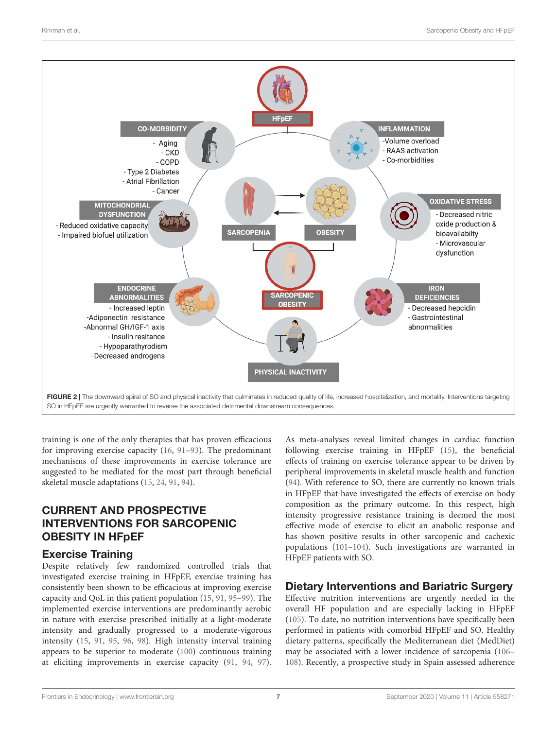

<span id="page-6-0"></span>training is one of the only therapies that has proven efficacious for improving exercise capacity [\(16,](#page-8-21) [91–](#page-10-25)[93\)](#page-10-26). The predominant mechanisms of these improvements in exercise tolerance are suggested to be mediated for the most part through beneficial skeletal muscle adaptations [\(15,](#page-8-20) [24,](#page-8-23) [91,](#page-10-25) [94\)](#page-10-27).

# CURRENT AND PROSPECTIVE INTERVENTIONS FOR SARCOPENIC OBESITY IN HFpEF

# Exercise Training

Despite relatively few randomized controlled trials that investigated exercise training in HFpEF, exercise training has consistently been shown to be efficacious at improving exercise capacity and QoL in this patient population [\(15,](#page-8-20) [91,](#page-10-25) [95](#page-10-28)[–99\)](#page-11-0). The implemented exercise interventions are predominantly aerobic in nature with exercise prescribed initially at a light-moderate intensity and gradually progressed to a moderate-vigorous intensity [\(15,](#page-8-20) [91,](#page-10-25) [95,](#page-10-28) [96,](#page-10-29) [98\)](#page-11-1). High intensity interval training appears to be superior to moderate [\(100\)](#page-11-2) continuous training at eliciting improvements in exercise capacity [\(91,](#page-10-25) [94,](#page-10-27) [97\)](#page-11-3).

As meta-analyses reveal limited changes in cardiac function following exercise training in HFpEF [\(15\)](#page-8-20), the beneficial effects of training on exercise tolerance appear to be driven by peripheral improvements in skeletal muscle health and function [\(94\)](#page-10-27). With reference to SO, there are currently no known trials in HFpEF that have investigated the effects of exercise on body composition as the primary outcome. In this respect, high intensity progressive resistance training is deemed the most effective mode of exercise to elicit an anabolic response and has shown positive results in other sarcopenic and cachexic populations [\(101](#page-11-4)[–104\)](#page-11-5). Such investigations are warranted in HFpEF patients with SO.

# Dietary Interventions and Bariatric Surgery

Effective nutrition interventions are urgently needed in the overall HF population and are especially lacking in HFpEF [\(105\)](#page-11-6). To date, no nutrition interventions have specifically been performed in patients with comorbid HFpEF and SO. Healthy dietary patterns, specifically the Mediterranean diet (MedDiet) may be associated with a lower incidence of sarcopenia [\(106–](#page-11-7) [108\)](#page-11-8). Recently, a prospective study in Spain assessed adherence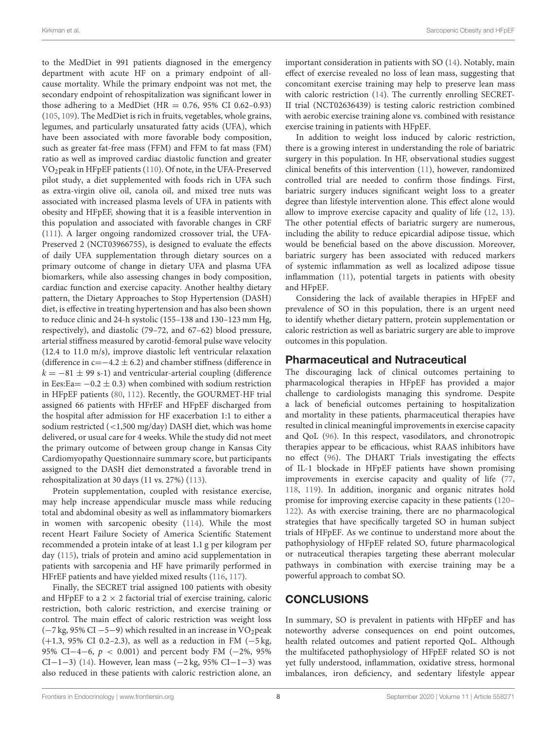Kirkman et al. Sarcopenic Obesity and HFpEF in the same of the same of the same of the same of the same of the same of the same of the same of the same of the same of the same of the same of the same of the same of the sam

to the MedDiet in 991 patients diagnosed in the emergency department with acute HF on a primary endpoint of allcause mortality. While the primary endpoint was not met, the secondary endpoint of rehospitalization was significant lower in those adhering to a MedDiet (HR =  $0.76$ , 95% CI 0.62-0.93) [\(105,](#page-11-6) [109\)](#page-11-9). The MedDiet is rich in fruits, vegetables, whole grains, legumes, and particularly unsaturated fatty acids (UFA), which have been associated with more favorable body composition, such as greater fat-free mass (FFM) and FFM to fat mass (FM) ratio as well as improved cardiac diastolic function and greater VO2peak in HFpEF patients [\(110\)](#page-11-10). Of note, in the UFA-Preserved pilot study, a diet supplemented with foods rich in UFA such as extra-virgin olive oil, canola oil, and mixed tree nuts was associated with increased plasma levels of UFA in patients with obesity and HFpEF, showing that it is a feasible intervention in this population and associated with favorable changes in CRF [\(111\)](#page-11-11). A larger ongoing randomized crossover trial, the UFA-Preserved 2 (NCT03966755), is designed to evaluate the effects of daily UFA supplementation through dietary sources on a primary outcome of change in dietary UFA and plasma UFA biomarkers, while also assessing changes in body composition, cardiac function and exercise capacity. Another healthy dietary pattern, the Dietary Approaches to Stop Hypertension (DASH) diet, is effective in treating hypertension and has also been shown to reduce clinic and 24-h systolic (155–138 and 130–123 mm Hg, respectively), and diastolic (79–72, and 67–62) blood pressure, arterial stiffness measured by carotid-femoral pulse wave velocity (12.4 to 11.0 m/s), improve diastolic left ventricular relaxation (difference in  $c=-4.2 \pm 6.2$ ) and chamber stiffness (difference in  $k = -81 \pm 99$  s-1) and ventricular-arterial coupling (difference in Ees:Ea=  $-0.2 \pm 0.3$ ) when combined with sodium restriction in HFpEF patients [\(80,](#page-10-30) [112\)](#page-11-12). Recently, the GOURMET-HF trial assigned 66 patients with HFrEF and HFpEF discharged from the hospital after admission for HF exacerbation 1:1 to either a sodium restricted (<1,500 mg/day) DASH diet, which was home delivered, or usual care for 4 weeks. While the study did not meet the primary outcome of between group change in Kansas City Cardiomyopathy Questionnaire summary score, but participants assigned to the DASH diet demonstrated a favorable trend in rehospitalization at 30 days (11 vs. 27%) [\(113\)](#page-11-13).

Protein supplementation, coupled with resistance exercise, may help increase appendicular muscle mass while reducing total and abdominal obesity as well as inflammatory biomarkers in women with sarcopenic obesity [\(114\)](#page-11-14). While the most recent Heart Failure Society of America Scientific Statement recommended a protein intake of at least 1.1 g per kilogram per day [\(115\)](#page-11-15), trials of protein and amino acid supplementation in patients with sarcopenia and HF have primarily performed in HFrEF patients and have yielded mixed results [\(116,](#page-11-16) [117\)](#page-11-17).

Finally, the SECRET trial assigned 100 patients with obesity and HFpEF to a  $2 \times 2$  factorial trial of exercise training, caloric restriction, both caloric restriction, and exercise training or control. The main effect of caloric restriction was weight loss  $(-7 \text{ kg}, 95\% \text{ CI} - 5-9)$  which resulted in an increase in VO<sub>2</sub> peak (+1.3, 95% CI 0.2–2.3), as well as a reduction in FM (−5 kg, 95% CI−4−6,  $p < 0.001$ ) and percent body FM (−2%, 95%) CI−1−3) [\(14\)](#page-8-13). However, lean mass (−2 kg, 95% CI−1−3) was also reduced in these patients with caloric restriction alone, an important consideration in patients with SO [\(14\)](#page-8-13). Notably, main effect of exercise revealed no loss of lean mass, suggesting that concomitant exercise training may help to preserve lean mass with caloric restriction [\(14\)](#page-8-13). The currently enrolling SECRET-II trial (NCT02636439) is testing caloric restriction combined with aerobic exercise training alone vs. combined with resistance exercise training in patients with HFpEF.

In addition to weight loss induced by caloric restriction, there is a growing interest in understanding the role of bariatric surgery in this population. In HF, observational studies suggest clinical benefits of this intervention [\(11\)](#page-8-10), however, randomized controlled trial are needed to confirm those findings. First, bariatric surgery induces significant weight loss to a greater degree than lifestyle intervention alone. This effect alone would allow to improve exercise capacity and quality of life [\(12,](#page-8-11) [13\)](#page-8-12). The other potential effects of bariatric surgery are numerous, including the ability to reduce epicardial adipose tissue, which would be beneficial based on the above discussion. Moreover, bariatric surgery has been associated with reduced markers of systemic inflammation as well as localized adipose tissue inflammation [\(11\)](#page-8-10), potential targets in patients with obesity and HFpEF.

Considering the lack of available therapies in HFpEF and prevalence of SO in this population, there is an urgent need to identify whether dietary pattern, protein supplementation or caloric restriction as well as bariatric surgery are able to improve outcomes in this population.

# Pharmaceutical and Nutraceutical

The discouraging lack of clinical outcomes pertaining to pharmacological therapies in HFpEF has provided a major challenge to cardiologists managing this syndrome. Despite a lack of beneficial outcomes pertaining to hospitalization and mortality in these patients, pharmaceutical therapies have resulted in clinical meaningful improvements in exercise capacity and QoL [\(96\)](#page-10-29). In this respect, vasodilators, and chronotropic therapies appear to be efficacious, whist RAAS inhibitors have no effect [\(96\)](#page-10-29). The DHART Trials investigating the effects of IL-1 blockade in HFpEF patients have shown promising improvements in exercise capacity and quality of life [\(77,](#page-10-14) [118,](#page-11-18) [119\)](#page-11-19). In addition, inorganic and organic nitrates hold promise for improving exercise capacity in these patients [\(120–](#page-11-20) [122\)](#page-11-21). As with exercise training, there are no pharmacological strategies that have specifically targeted SO in human subject trials of HFpEF. As we continue to understand more about the pathophysiology of HFpEF related SO, future pharmacological or nutraceutical therapies targeting these aberrant molecular pathways in combination with exercise training may be a powerful approach to combat SO.

# **CONCLUSIONS**

In summary, SO is prevalent in patients with HFpEF and has noteworthy adverse consequences on end point outcomes, health related outcomes and patient reported QoL. Although the multifaceted pathophysiology of HFpEF related SO is not yet fully understood, inflammation, oxidative stress, hormonal imbalances, iron deficiency, and sedentary lifestyle appear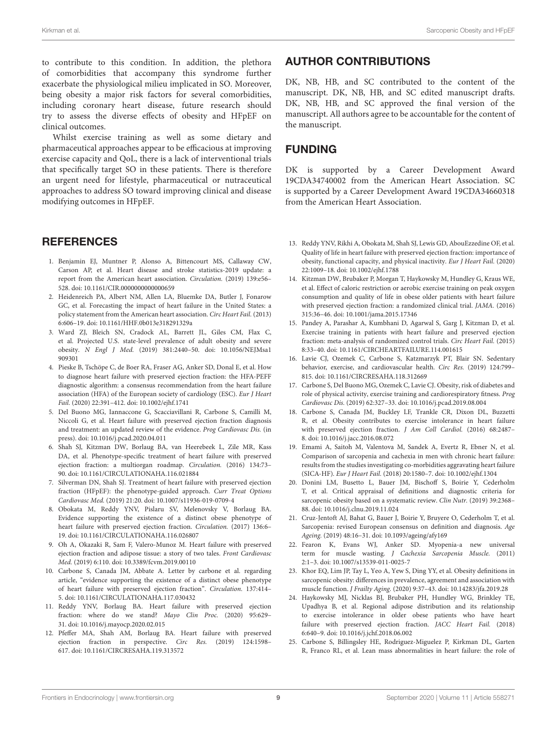to contribute to this condition. In addition, the plethora of comorbidities that accompany this syndrome further exacerbate the physiological milieu implicated in SO. Moreover, being obesity a major risk factors for several comorbidities, including coronary heart disease, future research should try to assess the diverse effects of obesity and HFpEF on clinical outcomes.

Whilst exercise training as well as some dietary and pharmaceutical approaches appear to be efficacious at improving exercise capacity and QoL, there is a lack of interventional trials that specifically target SO in these patients. There is therefore an urgent need for lifestyle, pharmaceutical or nutraceutical approaches to address SO toward improving clinical and disease modifying outcomes in HFpEF.

### **REFERENCES**

- <span id="page-8-0"></span>1. Benjamin EJ, Muntner P, Alonso A, Bittencourt MS, Callaway CW, Carson AP, et al. Heart disease and stroke statistics-2019 update: a report from the American heart association. Circulation. (2019) 139:e56– 528. doi: [10.1161/CIR.0000000000000659](https://doi.org/10.1161/CIR.0000000000000659)
- <span id="page-8-1"></span>2. Heidenreich PA, Albert NM, Allen LA, Bluemke DA, Butler J, Fonarow GC, et al. Forecasting the impact of heart failure in the United States: a policy statement from the American heart association. Circ Heart Fail. (2013) 6:606–19. doi: [10.1161/HHF.0b013e318291329a](https://doi.org/10.1161/HHF.0b013e318291329a)
- <span id="page-8-2"></span>3. Ward ZJ, Bleich SN, Cradock AL, Barrett JL, Giles CM, Flax C, et al. Projected U.S. state-level prevalence of adult obesity and severe obesity. N Engl J Med. [\(2019\) 381:2440–50. doi: 10.1056/NEJMsa1](https://doi.org/10.1056/NEJMsa1909301) 909301
- <span id="page-8-3"></span>4. Pieske B, Tschöpe C, de Boer RA, Fraser AG, Anker SD, Donal E, et al. How to diagnose heart failure with preserved ejection fraction: the HFA-PEFF diagnostic algorithm: a consensus recommendation from the heart failure association (HFA) of the European society of cardiology (ESC). Eur J Heart Fail. (2020) 22:391–412. doi: [10.1002/ejhf.1741](https://doi.org/10.1002/ejhf.1741)
- <span id="page-8-4"></span>5. Del Buono MG, Iannaccone G, Scacciavillani R, Carbone S, Camilli M, Niccoli G, et al. Heart failure with preserved ejection fraction diagnosis and treatment: an updated review of the evidence. Prog Cardiovasc Dis. (in press). doi: [10.1016/j.pcad.2020.04.011](https://doi.org/10.1016/j.pcad.2020.04.011)
- <span id="page-8-5"></span>6. Shah SJ, Kitzman DW, Borlaug BA, van Heerebeek L, Zile MR, Kass DA, et al. Phenotype-specific treatment of heart failure with preserved ejection fraction: a multiorgan roadmap. Circulation. (2016) 134:73– 90. doi: [10.1161/CIRCULATIONAHA.116.021884](https://doi.org/10.1161/CIRCULATIONAHA.116.021884)
- <span id="page-8-6"></span>7. Silverman DN, Shah SJ. Treatment of heart failure with preserved ejection fraction (HFpEF): the phenotype-guided approach. Curr Treat Options Cardiovasc Med. (2019) 21:20. doi: [10.1007/s11936-019-0709-4](https://doi.org/10.1007/s11936-019-0709-4)
- <span id="page-8-7"></span>8. Obokata M, Reddy YNV, Pislaru SV, Melenovsky V, Borlaug BA. Evidence supporting the existence of a distinct obese phenotype of heart failure with preserved ejection fraction. Circulation. (2017) 136:6– 19. doi: [10.1161/CIRCULATIONAHA.116.026807](https://doi.org/10.1161/CIRCULATIONAHA.116.026807)
- <span id="page-8-8"></span>9. Oh A, Okazaki R, Sam F, Valero-Munoz M. Heart failure with preserved ejection fraction and adipose tissue: a story of two tales. Front Cardiovasc Med. (2019) 6:110. doi: [10.3389/fcvm.2019.00110](https://doi.org/10.3389/fcvm.2019.00110)
- <span id="page-8-9"></span>10. Carbone S, Canada JM, Abbate A. Letter by carbone et al. regarding article, "evidence supporting the existence of a distinct obese phenotype of heart failure with preserved ejection fraction". Circulation. 137:414– 5. doi: [10.1161/CIRCULATIONAHA.117.030432](https://doi.org/10.1161/CIRCULATIONAHA.117.030432)
- <span id="page-8-10"></span>11. Reddy YNV, Borlaug BA. Heart failure with preserved ejection fraction: where do we stand? Mayo Clin Proc. (2020) 95:629– 31. doi: [10.1016/j.mayocp.2020.02.015](https://doi.org/10.1016/j.mayocp.2020.02.015)
- <span id="page-8-11"></span>12. Pfeffer MA, Shah AM, Borlaug BA. Heart failure with preserved ejection fraction in perspective. Circ Res. (2019) 124:1598– 617. doi: [10.1161/CIRCRESAHA.119.313572](https://doi.org/10.1161/CIRCRESAHA.119.313572)

# AUTHOR CONTRIBUTIONS

DK, NB, HB, and SC contributed to the content of the manuscript. DK, NB, HB, and SC edited manuscript drafts. DK, NB, HB, and SC approved the final version of the manuscript. All authors agree to be accountable for the content of the manuscript.

# FUNDING

DK is supported by a Career Development Award 19CDA34740002 from the American Heart Association. SC is supported by a Career Development Award 19CDA34660318 from the American Heart Association.

- <span id="page-8-12"></span>13. Reddy YNV, Rikhi A, Obokata M, Shah SJ, Lewis GD, AbouEzzedine OF, et al. Quality of life in heart failure with preserved ejection fraction: importance of obesity, functional capacity, and physical inactivity. Eur J Heart Fail. (2020) 22:1009–18. doi: [10.1002/ejhf.1788](https://doi.org/10.1002/ejhf.1788)
- <span id="page-8-13"></span>14. Kitzman DW, Brubaker P, Morgan T, Haykowsky M, Hundley G, Kraus WE, et al. Effect of caloric restriction or aerobic exercise training on peak oxygen consumption and quality of life in obese older patients with heart failure with preserved ejection fraction: a randomized clinical trial. JAMA. (2016) 315:36–46. doi: [10.1001/jama.2015.17346](https://doi.org/10.1001/jama.2015.17346)
- <span id="page-8-20"></span>15. Pandey A, Parashar A, Kumbhani D, Agarwal S, Garg J, Kitzman D, et al. Exercise training in patients with heart failure and preserved ejection fraction: meta-analysis of randomized control trials. Circ Heart Fail. (2015) 8:33–40. doi: [10.1161/CIRCHEARTFAILURE.114.001615](https://doi.org/10.1161/CIRCHEARTFAILURE.114.001615)
- <span id="page-8-21"></span>16. Lavie CJ, Ozemek C, Carbone S, Katzmarzyk PT, Blair SN. Sedentary behavior, exercise, and cardiovascular health. Circ Res. (2019) 124:799– 815. doi: [10.1161/CIRCRESAHA.118.312669](https://doi.org/10.1161/CIRCRESAHA.118.312669)
- <span id="page-8-14"></span>17. Carbone S, Del Buono MG, Ozemek C, Lavie CJ. Obesity, risk of diabetes and role of physical activity, exercise training and cardiorespiratory fitness. Prog Cardiovasc Dis. (2019) 62:327–33. doi: [10.1016/j.pcad.2019.08.004](https://doi.org/10.1016/j.pcad.2019.08.004)
- <span id="page-8-15"></span>18. Carbone S, Canada JM, Buckley LF, Trankle CR, Dixon DL, Buzzetti R, et al. Obesity contributes to exercise intolerance in heart failure with preserved ejection fraction. J Am Coll Cardiol. (2016) 68:2487– 8. doi: [10.1016/j.jacc.2016.08.072](https://doi.org/10.1016/j.jacc.2016.08.072)
- <span id="page-8-16"></span>19. Emami A, Saitoh M, Valentova M, Sandek A, Evertz R, Ebner N, et al. Comparison of sarcopenia and cachexia in men with chronic heart failure: results from the studies investigating co-morbidities aggravating heart failure (SICA-HF). Eur J Heart Fail. (2018) 20:1580–7. doi: [10.1002/ejhf.1304](https://doi.org/10.1002/ejhf.1304)
- <span id="page-8-17"></span>20. Donini LM, Busetto L, Bauer JM, Bischoff S, Boirie Y, Cederholm T, et al. Critical appraisal of definitions and diagnostic criteria for sarcopenic obesity based on a systematic review. Clin Nutr. (2019) 39:2368-88. doi: [10.1016/j.clnu.2019.11.024](https://doi.org/10.1016/j.clnu.2019.11.024)
- <span id="page-8-18"></span>21. Cruz-Jentoft AJ, Bahat G, Bauer J, Boirie Y, Bruyere O, Cederholm T, et al. Sarcopenia: revised European consensus on definition and diagnosis. Age Ageing. (2019) 48:16–31. doi: [10.1093/ageing/afy169](https://doi.org/10.1093/ageing/afy169)
- <span id="page-8-19"></span>22. Fearon K, Evans WJ, Anker SD. Myopenia-a new universal term for muscle wasting. J Cachexia Sarcopenia Muscle. (2011) 2:1–3. doi: [10.1007/s13539-011-0025-7](https://doi.org/10.1007/s13539-011-0025-7)
- <span id="page-8-22"></span>23. Khor EQ, Lim JP, Tay L, Yeo A, Yew S, Ding YY, et al. Obesity definitions in sarcopenic obesity: differences in prevalence, agreement and association with muscle function. J Frailty Aging. (2020) 9:37–43. doi: [10.14283/jfa.2019.28](https://doi.org/10.14283/jfa.2019.28)
- <span id="page-8-23"></span>24. Haykowsky MJ, Nicklas BJ, Brubaker PH, Hundley WG, Brinkley TE, Upadhya B, et al. Regional adipose distribution and its relationship to exercise intolerance in older obese patients who have heart failure with preserved ejection fraction. JACC Heart Fail. (2018) 6:640–9. doi: [10.1016/j.jchf.2018.06.002](https://doi.org/10.1016/j.jchf.2018.06.002)
- <span id="page-8-24"></span>25. Carbone S, Billingsley HE, Rodriguez-Miguelez P, Kirkman DL, Garten R, Franco RL, et al. Lean mass abnormalities in heart failure: the role of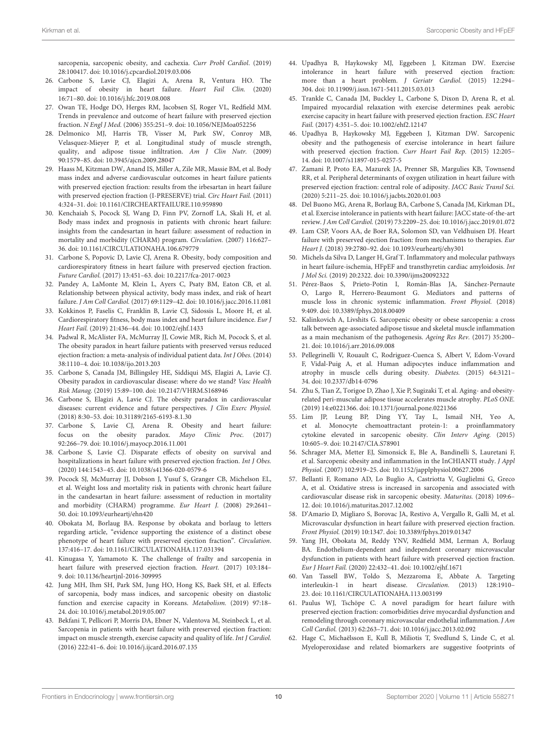sarcopenia, sarcopenic obesity, and cachexia. Curr Probl Cardiol. (2019) 28:100417. doi: [10.1016/j.cpcardiol.2019.03.006](https://doi.org/10.1016/j.cpcardiol.2019.03.006)

- <span id="page-9-0"></span>26. Carbone S, Lavie CJ, Elagizi A, Arena R, Ventura HO. The impact of obesity in heart failure. Heart Fail Clin. (2020) 16:71–80. doi: [10.1016/j.hfc.2019.08.008](https://doi.org/10.1016/j.hfc.2019.08.008)
- <span id="page-9-1"></span>27. Owan TE, Hodge DO, Herges RM, Jacobsen SJ, Roger VL, Redfield MM. Trends in prevalence and outcome of heart failure with preserved ejection fraction. N Engl J Med. (2006) 355:251–9. doi: [10.1056/NEJMoa052256](https://doi.org/10.1056/NEJMoa052256)
- <span id="page-9-2"></span>28. Delmonico MJ, Harris TB, Visser M, Park SW, Conroy MB, Velasquez-Mieyer P, et al. Longitudinal study of muscle strength, quality, and adipose tissue infiltration. Am J Clin Nutr. (2009) 90:1579–85. doi: [10.3945/ajcn.2009.28047](https://doi.org/10.3945/ajcn.2009.28047)
- <span id="page-9-3"></span>29. Haass M, Kitzman DW, Anand IS, Miller A, Zile MR, Massie BM, et al. Body mass index and adverse cardiovascular outcomes in heart failure patients with preserved ejection fraction: results from the irbesartan in heart failure with preserved ejection fraction (I-PRESERVE) trial. Circ Heart Fail. (2011) 4:324–31. doi: [10.1161/CIRCHEARTFAILURE.110.959890](https://doi.org/10.1161/CIRCHEARTFAILURE.110.959890)
- <span id="page-9-4"></span>30. Kenchaiah S, Pocock SJ, Wang D, Finn PV, Zornoff LA, Skali H, et al. Body mass index and prognosis in patients with chronic heart failure: insights from the candesartan in heart failure: assessment of reduction in mortality and morbidity (CHARM) program. Circulation. (2007) 116:627– 36. doi: [10.1161/CIRCULATIONAHA.106.679779](https://doi.org/10.1161/CIRCULATIONAHA.106.679779)
- <span id="page-9-5"></span>31. Carbone S, Popovic D, Lavie CJ, Arena R. Obesity, body composition and cardiorespiratory fitness in heart failure with preserved ejection fraction. Future Cardiol. (2017) 13:451–63. doi: [10.2217/fca-2017-0023](https://doi.org/10.2217/fca-2017-0023)
- <span id="page-9-6"></span>32. Pandey A, LaMonte M, Klein L, Ayers C, Psaty BM, Eaton CB, et al. Relationship between physical activity, body mass index, and risk of heart failure. J Am Coll Cardiol. (2017) 69:1129–42. doi: [10.1016/j.jacc.2016.11.081](https://doi.org/10.1016/j.jacc.2016.11.081)
- <span id="page-9-7"></span>33. Kokkinos P, Faselis C, Franklin B, Lavie CJ, Sidossis L, Moore H, et al. Cardiorespiratory fitness, body mass index and heart failure incidence. Eur J Heart Fail. (2019) 21:436–44. doi: [10.1002/ejhf.1433](https://doi.org/10.1002/ejhf.1433)
- <span id="page-9-8"></span>34. Padwal R, McAlister FA, McMurray JJ, Cowie MR, Rich M, Pocock S, et al. The obesity paradox in heart failure patients with preserved versus reduced ejection fraction: a meta-analysis of individual patient data. Int J Obes. (2014) 38:1110–4. doi: [10.1038/ijo.2013.203](https://doi.org/10.1038/ijo.2013.203)
- <span id="page-9-9"></span>35. Carbone S, Canada JM, Billingsley HE, Siddiqui MS, Elagizi A, Lavie CJ. Obesity paradox in cardiovascular disease: where do we stand? Vasc Health Risk Manag. (2019) 15:89–100. doi: [10.2147/VHRM.S168946](https://doi.org/10.2147/VHRM.S168946)
- 36. Carbone S, Elagizi A, Lavie CJ. The obesity paradox in cardiovascular diseases: current evidence and future perspectives. J Clin Exerc Physiol. (2018) 8:30–53. doi: [10.31189/2165-6193-8.1.30](https://doi.org/10.31189/2165-6193-8.1.30)
- <span id="page-9-10"></span>37. Carbone S, Lavie CJ, Arena R. Obesity and heart failure: focus on the obesity paradox. Mayo Clinic Proc. (2017) 92:266–79. doi: [10.1016/j.mayocp.2016.11.001](https://doi.org/10.1016/j.mayocp.2016.11.001)
- <span id="page-9-11"></span>38. Carbone S, Lavie CJ. Disparate effects of obesity on survival and hospitalizations in heart failure with preserved ejection fraction. Int J Obes. (2020) 144:1543–45. doi: [10.1038/s41366-020-0579-6](https://doi.org/10.1038/s41366-020-0579-6)
- <span id="page-9-12"></span>39. Pocock SJ, McMurray JJ, Dobson J, Yusuf S, Granger CB, Michelson EL, et al. Weight loss and mortality risk in patients with chronic heart failure in the candesartan in heart failure: assessment of reduction in mortality and morbidity (CHARM) programme. Eur Heart J. (2008) 29:2641– 50. doi: [10.1093/eurheartj/ehn420](https://doi.org/10.1093/eurheartj/ehn420)
- <span id="page-9-13"></span>40. Obokata M, Borlaug BA. Response by obokata and borlaug to letters regarding article, "evidence supporting the existence of a distinct obese phenotype of heart failure with preserved ejection fraction". Circulation. 137:416–17. doi: [10.1161/CIRCULATIONAHA.117.031394](https://doi.org/10.1161/CIRCULATIONAHA.117.031394)
- <span id="page-9-14"></span>41. Kinugasa Y, Yamamoto K. The challenge of frailty and sarcopenia in heart failure with preserved ejection fraction. Heart. (2017) 103:184– 9. doi: [10.1136/heartjnl-2016-309995](https://doi.org/10.1136/heartjnl-2016-309995)
- <span id="page-9-15"></span>42. Jung MH, Ihm SH, Park SM, Jung HO, Hong KS, Baek SH, et al. Effects of sarcopenia, body mass indices, and sarcopenic obesity on diastolic function and exercise capacity in Koreans. Metabolism. (2019) 97:18– 24. doi: [10.1016/j.metabol.2019.05.007](https://doi.org/10.1016/j.metabol.2019.05.007)
- <span id="page-9-16"></span>43. Bekfani T, Pellicori P, Morris DA, Ebner N, Valentova M, Steinbeck L, et al. Sarcopenia in patients with heart failure with preserved ejection fraction: impact on muscle strength, exercise capacity and quality of life. Int J Cardiol. (2016) 222:41–6. doi: [10.1016/j.ijcard.2016.07.135](https://doi.org/10.1016/j.ijcard.2016.07.135)
- <span id="page-9-17"></span>44. Upadhya B, Haykowsky MJ, Eggebeen J, Kitzman DW. Exercise intolerance in heart failure with preserved ejection fraction: more than a heart problem. J Geriatr Cardiol. (2015) 12:294– 304. doi: [10.11909/j.issn.1671-5411.2015.03.013](https://doi.org/10.11909/j.issn.1671-5411.2015.03.013)
- <span id="page-9-18"></span>45. Trankle C, Canada JM, Buckley L, Carbone S, Dixon D, Arena R, et al. Impaired myocardial relaxation with exercise determines peak aerobic exercise capacity in heart failure with preserved ejection fraction. ESC Heart Fail. (2017) 4:351–5. doi: [10.1002/ehf2.12147](https://doi.org/10.1002/ehf2.12147)
- <span id="page-9-19"></span>46. Upadhya B, Haykowsky MJ, Eggebeen J, Kitzman DW. Sarcopenic obesity and the pathogenesis of exercise intolerance in heart failure with preserved ejection fraction. Curr Heart Fail Rep. (2015) 12:205– 14. doi: [10.1007/s11897-015-0257-5](https://doi.org/10.1007/s11897-015-0257-5)
- <span id="page-9-20"></span>47. Zamani P, Proto EA, Mazurek JA, Prenner SB, Margulies KB, Townsend RR, et al. Peripheral determinants of oxygen utilization in heart failure with preserved ejection fraction: central role of adiposity. JACC Basic Transl Sci. (2020) 5:211–25. doi: [10.1016/j.jacbts.2020.01.003](https://doi.org/10.1016/j.jacbts.2020.01.003)
- <span id="page-9-21"></span>48. Del Buono MG, Arena R, Borlaug BA, Carbone S, Canada JM, Kirkman DL, et al. Exercise intolerance in patients with heart failure: JACC state-of-the-art review. J Am Coll Cardiol. (2019) 73:2209–25. doi: [10.1016/j.jacc.2019.01.072](https://doi.org/10.1016/j.jacc.2019.01.072)
- <span id="page-9-22"></span>49. Lam CSP, Voors AA, de Boer RA, Solomon SD, van Veldhuisen DJ. Heart failure with preserved ejection fraction: from mechanisms to therapies. Eur Heart J. (2018) 39:2780–92. doi: [10.1093/eurheartj/ehy301](https://doi.org/10.1093/eurheartj/ehy301)
- <span id="page-9-23"></span>50. Michels da Silva D, Langer H, Graf T. Inflammatory and molecular pathways in heart failure-ischemia, HFpEF and transthyretin cardiac amyloidosis. Int J Mol Sci. (2019) 20:2322. doi: [10.3390/ijms20092322](https://doi.org/10.3390/ijms20092322)
- <span id="page-9-24"></span>51. Pérez-Baos S, Prieto-Potin I, Román-Blas JA, Sánchez-Pernaute O, Largo R, Herrero-Beaumont G. Mediators and patterns of muscle loss in chronic systemic inflammation. Front Physiol. (2018) 9:409. doi: [10.3389/fphys.2018.00409](https://doi.org/10.3389/fphys.2018.00409)
- <span id="page-9-25"></span>52. Kalinkovich A, Livshits G. Sarcopenic obesity or obese sarcopenia: a cross talk between age-associated adipose tissue and skeletal muscle inflammation as a main mechanism of the pathogenesis. Ageing Res Rev. (2017) 35:200– 21. doi: [10.1016/j.arr.2016.09.008](https://doi.org/10.1016/j.arr.2016.09.008)
- <span id="page-9-26"></span>53. Pellegrinelli V, Rouault C, Rodriguez-Cuenca S, Albert V, Edom-Vovard F, Vidal-Puig A, et al. Human adipocytes induce inflammation and atrophy in muscle cells during obesity. Diabetes. (2015) 64:3121– 34. doi: [10.2337/db14-0796](https://doi.org/10.2337/db14-0796)
- <span id="page-9-27"></span>54. Zhu S, Tian Z, Torigoe D, Zhao J, Xie P, Sugizaki T, et al. Aging- and obesityrelated peri-muscular adipose tissue accelerates muscle atrophy. PLoS ONE. (2019) 14:e0221366. doi: [10.1371/journal.pone.0221366](https://doi.org/10.1371/journal.pone.0221366)
- <span id="page-9-28"></span>55. Lim JP, Leung BP, Ding YY, Tay L, Ismail NH, Yeo A, et al. Monocyte chemoattractant protein-1: a proinflammatory cytokine elevated in sarcopenic obesity. Clin Interv Aging. (2015) 10:605–9. doi: [10.2147/CIA.S78901](https://doi.org/10.2147/CIA.S78901)
- <span id="page-9-29"></span>56. Schrager MA, Metter EJ, Simonsick E, Ble A, Bandinelli S, Lauretani F, et al. Sarcopenic obesity and inflammation in the InCHIANTI study. J Appl Physiol. (2007) 102:919–25. doi: [10.1152/japplphysiol.00627.2006](https://doi.org/10.1152/japplphysiol.00627.2006)
- <span id="page-9-30"></span>57. Bellanti F, Romano AD, Lo Buglio A, Castriotta V, Guglielmi G, Greco A, et al. Oxidative stress is increased in sarcopenia and associated with cardiovascular disease risk in sarcopenic obesity. Maturitas. (2018) 109:6– 12. doi: [10.1016/j.maturitas.2017.12.002](https://doi.org/10.1016/j.maturitas.2017.12.002)
- <span id="page-9-31"></span>58. D'Amario D, Migliaro S, Borovac JA, Restivo A, Vergallo R, Galli M, et al. Microvascular dysfunction in heart failure with preserved ejection fraction. Front Physiol. (2019) 10:1347. doi: [10.3389/fphys.2019.01347](https://doi.org/10.3389/fphys.2019.01347)
- <span id="page-9-32"></span>59. Yang JH, Obokata M, Reddy YNV, Redfield MM, Lerman A, Borlaug BA. Endothelium-dependent and independent coronary microvascular dysfunction in patients with heart failure with preserved ejection fraction. Eur J Heart Fail. (2020) 22:432–41. doi: [10.1002/ejhf.1671](https://doi.org/10.1002/ejhf.1671)
- <span id="page-9-33"></span>60. Van Tassell BW, Toldo S, Mezzaroma E, Abbate A. Targeting interleukin-1 in heart disease. Circulation. (2013) 128:1910– 23. doi: [10.1161/CIRCULATIONAHA.113.003199](https://doi.org/10.1161/CIRCULATIONAHA.113.003199)
- <span id="page-9-34"></span>61. Paulus WJ, Tschöpe C. A novel paradigm for heart failure with preserved ejection fraction: comorbidities drive myocardial dysfunction and remodeling through coronary microvascular endothelial inflammation. J Am Coll Cardiol. (2013) 62:263–71. doi: [10.1016/j.jacc.2013.02.092](https://doi.org/10.1016/j.jacc.2013.02.092)
- <span id="page-9-35"></span>62. Hage C, Michaëlsson E, Kull B, Miliotis T, Svedlund S, Linde C, et al. Myeloperoxidase and related biomarkers are suggestive footprints of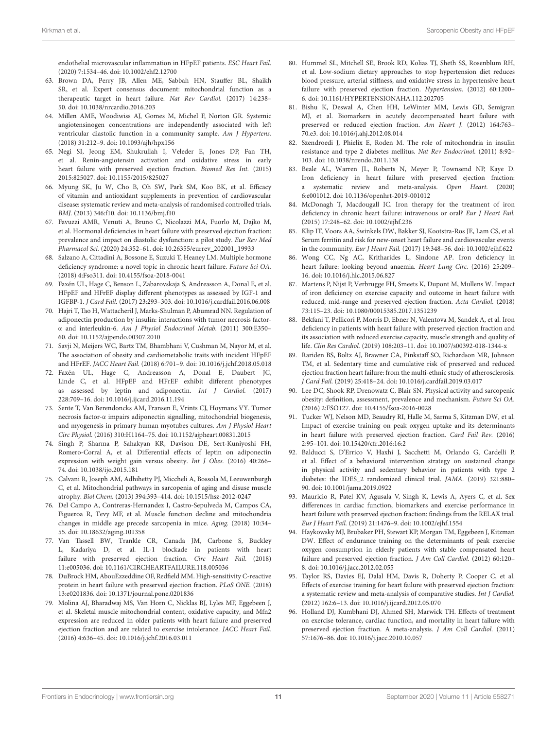endothelial microvascular inflammation in HFpEF patients. ESC Heart Fail. (2020) 7:1534–46. doi: [10.1002/ehf2.12700](https://doi.org/10.1002/ehf2.12700)

- <span id="page-10-0"></span>63. Brown DA, Perry JB, Allen ME, Sabbah HN, Stauffer BL, Shaikh SR, et al. Expert consensus document: mitochondrial function as a therapeutic target in heart failure. Nat Rev Cardiol. (2017) 14:238– 50. doi: [10.1038/nrcardio.2016.203](https://doi.org/10.1038/nrcardio.2016.203)
- <span id="page-10-1"></span>64. Millen AME, Woodiwiss AJ, Gomes M, Michel F, Norton GR. Systemic angiotensinogen concentrations are independently associated with left ventricular diastolic function in a community sample. Am J Hypertens. (2018) 31:212–9. doi: [10.1093/ajh/hpx156](https://doi.org/10.1093/ajh/hpx156)
- <span id="page-10-2"></span>65. Negi SI, Jeong EM, Shukrullah I, Veleder E, Jones DP, Fan TH, et al. Renin-angiotensin activation and oxidative stress in early heart failure with preserved ejection fraction. Biomed Res Int. (2015) 2015:825027. doi: [10.1155/2015/825027](https://doi.org/10.1155/2015/825027)
- <span id="page-10-3"></span>66. Myung SK, Ju W, Cho B, Oh SW, Park SM, Koo BK, et al. Efficacy of vitamin and antioxidant supplements in prevention of cardiovascular disease: systematic review and meta-analysis of randomised controlled trials. BMJ. (2013) 346:f10. doi: [10.1136/bmj.f10](https://doi.org/10.1136/bmj.f10)
- <span id="page-10-4"></span>67. Favuzzi AMR, Venuti A, Bruno C, Nicolazzi MA, Fuorlo M, Dajko M, et al. Hormonal deficiencies in heart failure with preserved ejection fraction: prevalence and impact on diastolic dysfunction: a pilot study. Eur Rev Med Pharmacol Sci. (2020) 24:352–61. doi: [10.26355/eurrev\\_202001\\_19933](https://doi.org/10.26355/eurrev_202001_19933)
- <span id="page-10-5"></span>68. Salzano A, Cittadini A, Bossone E, Suzuki T, Heaney LM. Multiple hormone deficiency syndrome: a novel topic in chronic heart failure. Future Sci OA. (2018) 4:Fso311. doi: [10.4155/fsoa-2018-0041](https://doi.org/10.4155/fsoa-2018-0041)
- <span id="page-10-6"></span>69. Faxén UL, Hage C, Benson L, Zabarovskaja S, Andreasson A, Donal E, et al. HFpEF and HFrEF display different phenotypes as assessed by IGF-1 and IGFBP-1. J Card Fail. (2017) 23:293–303. doi: [10.1016/j.cardfail.2016.06.008](https://doi.org/10.1016/j.cardfail.2016.06.008)
- <span id="page-10-7"></span>70. Hajri T, Tao H, Wattacheril J, Marks-Shulman P, Abumrad NN. Regulation of adiponectin production by insulin: interactions with tumor necrosis factorα and interleukin-6. Am J Physiol Endocrinol Metab. (2011) 300:E350– 60. doi: [10.1152/ajpendo.00307.2010](https://doi.org/10.1152/ajpendo.00307.2010)
- <span id="page-10-9"></span>71. Savji N, Meijers WC, Bartz TM, Bhambhani V, Cushman M, Nayor M, et al. The association of obesity and cardiometabolic traits with incident HFpEF and HFrEF. JACC Heart Fail. (2018) 6:701–9. doi: [10.1016/j.jchf.2018.05.018](https://doi.org/10.1016/j.jchf.2018.05.018)
- <span id="page-10-10"></span>72. Faxén UL, Hage C, Andreasson A, Donal E, Daubert JC, Linde C, et al. HFpEF and HFrEF exhibit different phenotypes as assessed by leptin and adiponectin. Int J Cardiol. (2017) 228:709–16. doi: [10.1016/j.ijcard.2016.11.194](https://doi.org/10.1016/j.ijcard.2016.11.194)
- <span id="page-10-11"></span>73. Sente T, Van Berendoncks AM, Fransen E, Vrints CJ, Hoymans VY. Tumor necrosis factor-α impairs adiponectin signalling, mitochondrial biogenesis, and myogenesis in primary human myotubes cultures. Am J Physiol Heart Circ Physiol. (2016) 310:H1164–75. doi: [10.1152/ajpheart.00831.2015](https://doi.org/10.1152/ajpheart.00831.2015)
- <span id="page-10-8"></span>74. Singh P, Sharma P, Sahakyan KR, Davison DE, Sert-Kuniyoshi FH, Romero-Corral A, et al. Differential effects of leptin on adiponectin expression with weight gain versus obesity. Int J Obes. (2016) 40:266– 74. doi: [10.1038/ijo.2015.181](https://doi.org/10.1038/ijo.2015.181)
- <span id="page-10-12"></span>75. Calvani R, Joseph AM, Adhihetty PJ, Miccheli A, Bossola M, Leeuwenburgh C, et al. Mitochondrial pathways in sarcopenia of aging and disuse muscle atrophy. Biol Chem. (2013) 394:393–414. doi: [10.1515/hsz-2012-0247](https://doi.org/10.1515/hsz-2012-0247)
- <span id="page-10-13"></span>76. Del Campo A, Contreras-Hernandez I, Castro-Sepulveda M, Campos CA, Figueroa R, Tevy MF, et al. Muscle function decline and mitochondria changes in middle age precede sarcopenia in mice. Aging. (2018) 10:34– 55. doi: [10.18632/aging.101358](https://doi.org/10.18632/aging.101358)
- <span id="page-10-14"></span>77. Van Tassell BW, Trankle CR, Canada JM, Carbone S, Buckley L, Kadariya D, et al. IL-1 blockade in patients with heart failure with preserved ejection fraction. Circ Heart Fail. (2018) 11:e005036. doi: [10.1161/CIRCHEARTFAILURE.118.005036](https://doi.org/10.1161/CIRCHEARTFAILURE.118.005036)
- 78. DuBrock HM, AbouEzzeddine OF, Redfield MM. High-sensitivity C-reactive protein in heart failure with preserved ejection fraction. PLoS ONE. (2018) 13:e0201836. doi: [10.1371/journal.pone.0201836](https://doi.org/10.1371/journal.pone.0201836)
- 79. Molina AJ, Bharadwaj MS, Van Horn C, Nicklas BJ, Lyles MF, Eggebeen J, et al. Skeletal muscle mitochondrial content, oxidative capacity, and Mfn2 expression are reduced in older patients with heart failure and preserved ejection fraction and are related to exercise intolerance. JACC Heart Fail. (2016) 4:636–45. doi: [10.1016/j.jchf.2016.03.011](https://doi.org/10.1016/j.jchf.2016.03.011)
- <span id="page-10-30"></span>80. Hummel SL, Mitchell SE, Brook RD, Kolias TJ, Sheth SS, Rosenblum RH, et al. Low-sodium dietary approaches to stop hypertension diet reduces blood pressure, arterial stiffness, and oxidative stress in hypertensive heart failure with preserved ejection fraction. Hypertension. (2012) 60:1200– 6. doi: [10.1161/HYPERTENSIONAHA.112.202705](https://doi.org/10.1161/HYPERTENSIONAHA.112.202705)
- <span id="page-10-15"></span>81. Bishu K, Deswal A, Chen HH, LeWinter MM, Lewis GD, Semigran MJ, et al. Biomarkers in acutely decompensated heart failure with preserved or reduced ejection fraction. Am Heart J. (2012) 164:763– 70.e3. doi: [10.1016/j.ahj.2012.08.014](https://doi.org/10.1016/j.ahj.2012.08.014)
- <span id="page-10-16"></span>82. Szendroedi J, Phielix E, Roden M. The role of mitochondria in insulin resistance and type 2 diabetes mellitus. Nat Rev Endocrinol. (2011) 8:92– 103. doi: [10.1038/nrendo.2011.138](https://doi.org/10.1038/nrendo.2011.138)
- <span id="page-10-17"></span>83. Beale AL, Warren JL, Roberts N, Meyer P, Townsend NP, Kaye D. Iron deficiency in heart failure with preserved ejection fraction: a systematic review and meta-analysis. Open Heart. (2020) 6:e001012. doi: [10.1136/openhrt-2019-001012](https://doi.org/10.1136/openhrt-2019-001012)
- <span id="page-10-19"></span>84. McDonagh T, Macdougall IC. Iron therapy for the treatment of iron deficiency in chronic heart failure: intravenous or oral? Eur J Heart Fail. (2015) 17:248–62. doi: [10.1002/ejhf.236](https://doi.org/10.1002/ejhf.236)
- <span id="page-10-18"></span>85. Klip IT, Voors AA, Swinkels DW, Bakker SJ, Kootstra-Ros JE, Lam CS, et al. Serum ferritin and risk for new-onset heart failure and cardiovascular events in the community. Eur J Heart Fail. (2017) 19:348–56. doi: [10.1002/ejhf.622](https://doi.org/10.1002/ejhf.622)
- <span id="page-10-20"></span>86. Wong CC, Ng AC, Kritharides L, Sindone AP. Iron deficiency in heart failure: looking beyond anaemia. Heart Lung Circ. (2016) 25:209– 16. doi: [10.1016/j.hlc.2015.06.827](https://doi.org/10.1016/j.hlc.2015.06.827)
- <span id="page-10-21"></span>87. Martens P, Nijst P, Verbrugge FH, Smeets K, Dupont M, Mullens W. Impact of iron deficiency on exercise capacity and outcome in heart failure with reduced, mid-range and preserved ejection fraction. Acta Cardiol. (2018) 73:115–23. doi: [10.1080/00015385.2017.1351239](https://doi.org/10.1080/00015385.2017.1351239)
- <span id="page-10-22"></span>88. Bekfani T, Pellicori P, Morris D, Ebner N, Valentova M, Sandek A, et al. Iron deficiency in patients with heart failure with preserved ejection fraction and its association with reduced exercise capacity, muscle strength and quality of life. Clin Res Cardiol. (2019) 108:203–11. doi: [10.1007/s00392-018-1344-x](https://doi.org/10.1007/s00392-018-1344-x)
- <span id="page-10-23"></span>89. Rariden BS, Boltz AJ, Brawner CA, Pinkstaff SO, Richardson MR, Johnson TM, et al. Sedentary time and cumulative risk of preserved and reduced ejection fraction heart failure: from the multi-ethnic study of atherosclerosis. J Card Fail. (2019) 25:418–24. doi: [10.1016/j.cardfail.2019.03.017](https://doi.org/10.1016/j.cardfail.2019.03.017)
- <span id="page-10-24"></span>90. Lee DC, Shook RP, Drenowatz C, Blair SN. Physical activity and sarcopenic obesity: definition, assessment, prevalence and mechanism. Future Sci OA. (2016) 2:FSO127. doi: [10.4155/fsoa-2016-0028](https://doi.org/10.4155/fsoa-2016-0028)
- <span id="page-10-25"></span>91. Tucker WJ, Nelson MD, Beaudry RI, Halle M, Sarma S, Kitzman DW, et al. Impact of exercise training on peak oxygen uptake and its determinants in heart failure with preserved ejection fraction. Card Fail Rev. (2016) 2:95–101. doi: [10.15420/cfr.2016:16:2](https://doi.org/10.15420/cfr.2016:16:2)
- 92. Balducci S, D'Errico V, Haxhi J, Sacchetti M, Orlando G, Cardelli P, et al. Effect of a behavioral intervention strategy on sustained change in physical activity and sedentary behavior in patients with type 2 diabetes: the IDES\_2 randomized clinical trial. JAMA. (2019) 321:880– 90. doi: [10.1001/jama.2019.0922](https://doi.org/10.1001/jama.2019.0922)
- <span id="page-10-26"></span>93. Mauricio R, Patel KV, Agusala V, Singh K, Lewis A, Ayers C, et al. Sex differences in cardiac function, biomarkers and exercise performance in heart failure with preserved ejection fraction: findings from the RELAX trial. Eur J Heart Fail. (2019) 21:1476–9. doi: [10.1002/ejhf.1554](https://doi.org/10.1002/ejhf.1554)
- <span id="page-10-27"></span>94. Haykowsky MJ, Brubaker PH, Stewart KP, Morgan TM, Eggebeen J, Kitzman DW. Effect of endurance training on the determinants of peak exercise oxygen consumption in elderly patients with stable compensated heart failure and preserved ejection fraction. J Am Coll Cardiol. (2012) 60:120– 8. doi: [10.1016/j.jacc.2012.02.055](https://doi.org/10.1016/j.jacc.2012.02.055)
- <span id="page-10-28"></span>95. Taylor RS, Davies EJ, Dalal HM, Davis R, Doherty P, Cooper C, et al. Effects of exercise training for heart failure with preserved ejection fraction: a systematic review and meta-analysis of comparative studies. Int J Cardiol. (2012) 162:6–13. doi: [10.1016/j.ijcard.2012.05.070](https://doi.org/10.1016/j.ijcard.2012.05.070)
- <span id="page-10-29"></span>96. Holland DJ, Kumbhani DJ, Ahmed SH, Marwick TH. Effects of treatment on exercise tolerance, cardiac function, and mortality in heart failure with preserved ejection fraction. A meta-analysis. J Am Coll Cardiol. (2011) 57:1676–86. doi: [10.1016/j.jacc.2010.10.057](https://doi.org/10.1016/j.jacc.2010.10.057)